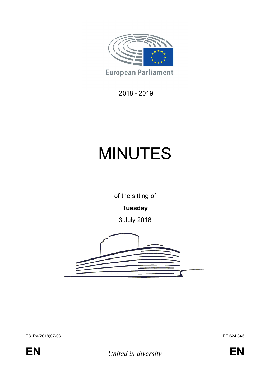

2018 - 2019

# MINUTES

of the sitting of

**Tuesday**

3 July 2018





**EN** *United in diversity* **EN**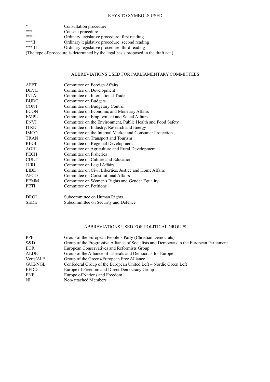#### KEYS TO SYMBOLS USED

| $\ast$   | Consultation procedure                         |
|----------|------------------------------------------------|
| ***      | Consent procedure                              |
| $***I$   | Ordinary legislative procedure: first reading  |
| $***$ II | Ordinary legislative procedure: second reading |
| $+++TT$  |                                                |

\*\*\*III Ordinary legislative procedure: third reading

(The type of procedure is determined by the legal basis proposed in the draft act.)

#### ABBREVIATIONS USED FOR PARLIAMENTARY COMMITTEES

| Committee on Foreign Affairs                                |
|-------------------------------------------------------------|
| Committee on Development                                    |
| Committee on International Trade                            |
| Committee on Budgets                                        |
| Committee on Budgetary Control                              |
| Committee on Economic and Monetary Affairs                  |
| Committee on Employment and Social Affairs                  |
| Committee on the Environment, Public Health and Food Safety |
| Committee on Industry, Research and Energy                  |
| Committee on the Internal Market and Consumer Protection    |
| Committee on Transport and Tourism                          |
| Committee on Regional Development                           |
| Committee on Agriculture and Rural Development              |
| Committee on Fisheries                                      |
| Committee on Culture and Education                          |
| Committee on Legal Affairs                                  |
| Committee on Civil Liberties, Justice and Home Affairs      |
| Committee on Constitutional Affairs                         |
| Committee on Women's Rights and Gender Equality             |
| Committee on Petitions                                      |
| Subcommittee on Human Rights                                |
| Subcommittee on Security and Defence                        |
|                                                             |

#### ABBREVIATIONS USED FOR POLITICAL GROUPS

| <b>PPE</b>  | Group of the European People's Party (Christian Democrats)                               |
|-------------|------------------------------------------------------------------------------------------|
| S&D         | Group of the Progressive Alliance of Socialists and Democrats in the European Parliament |
| <b>ECR</b>  | European Conservatives and Reformists Group                                              |
| ALDE        | Group of the Alliance of Liberals and Democrats for Europe                               |
| Verts/ALE   | Group of the Greens/European Free Alliance                                               |
| GUE/NGL     | Confederal Group of the European United Left - Nordic Green Left                         |
| <b>EFDD</b> | Europe of Freedom and Direct Democracy Group                                             |
| ENF         | Europe of Nations and Freedom                                                            |
| NI          | Non-attached Members                                                                     |
|             |                                                                                          |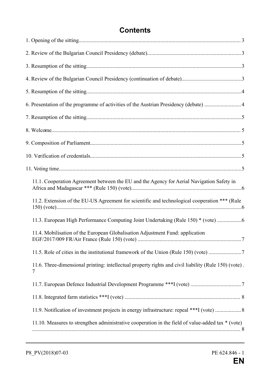# **Contents**

| 6. Presentation of the programme of activities of the Austrian Presidency (debate) 4                       |  |
|------------------------------------------------------------------------------------------------------------|--|
|                                                                                                            |  |
|                                                                                                            |  |
|                                                                                                            |  |
|                                                                                                            |  |
|                                                                                                            |  |
| 11.1. Cooperation Agreement between the EU and the Agency for Aerial Navigation Safety in                  |  |
| 11.2. Extension of the EU-US Agreement for scientific and technological cooperation *** (Rule              |  |
| 11.3. European High Performance Computing Joint Undertaking (Rule 150) * (vote)                            |  |
| 11.4. Mobilisation of the European Globalisation Adjustment Fund: application                              |  |
| 11.5. Role of cities in the institutional framework of the Union (Rule 150) (vote) 7                       |  |
| 11.6. Three-dimensional printing: intellectual property rights and civil liability (Rule 150) (vote).<br>7 |  |
|                                                                                                            |  |
|                                                                                                            |  |
| 11.9. Notification of investment projects in energy infrastructure: repeal ***I (vote)  8                  |  |
| 11.10. Measures to strengthen administrative cooperation in the field of value-added tax $*$ (vote)        |  |
|                                                                                                            |  |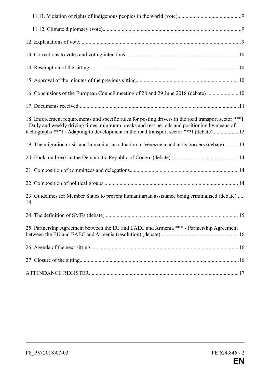| 16. Conclusions of the European Council meeting of 28 and 29 June 2018 (debate)  10                                                                                                                                                                                                                 |
|-----------------------------------------------------------------------------------------------------------------------------------------------------------------------------------------------------------------------------------------------------------------------------------------------------|
|                                                                                                                                                                                                                                                                                                     |
| 18. Enforcement requirements and specific rules for posting drivers in the road transport sector *** I<br>- Daily and weekly driving times, minimum breaks and rest periods and positioning by means of<br>tachographs ***I - Adapting to development in the road transport sector ***I (debate) 12 |
| 19. The migration crisis and humanitarian situation in Venezuela and at its borders (debate)13                                                                                                                                                                                                      |
|                                                                                                                                                                                                                                                                                                     |
|                                                                                                                                                                                                                                                                                                     |
|                                                                                                                                                                                                                                                                                                     |
| 23. Guidelines for Member States to prevent humanitarian assistance being criminalised (debate)<br>14                                                                                                                                                                                               |
|                                                                                                                                                                                                                                                                                                     |
| 25. Partnership Agreement between the EU and EAEC and Armenia *** - Partnership Agreement                                                                                                                                                                                                           |
|                                                                                                                                                                                                                                                                                                     |
|                                                                                                                                                                                                                                                                                                     |
|                                                                                                                                                                                                                                                                                                     |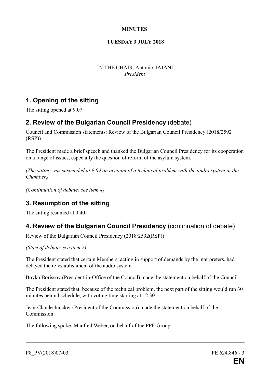#### **MINUTES**

#### **TUESDAY 3 JULY 2018**

IN THE CHAIR: Antonio TAJANI *President*

## **1. Opening of the sitting**

The sitting opened at 9.07.

## **2. Review of the Bulgarian Council Presidency** (debate)

Council and Commission statements: Review of the Bulgarian Council Presidency (2018/2592 (RSP))

The President made a brief speech and thanked the Bulgarian Council Presidency for its cooperation on a range of issues, especially the question of reform of the asylum system.

*(The sitting was suspended at 9.09 on account of a technical problem with the audio system in the Chamber.)*

*(Continuation of debate: see item 4)*

## **3. Resumption of the sitting**

The sitting resumed at 9.40.

## **4. Review of the Bulgarian Council Presidency** (continuation of debate)

Review of the Bulgarian Council Presidency (2018/2592(RSP))

*(Start of debate: see item 2)*

The President stated that certain Members, acting in support of demands by the interpreters, had delayed the re-establishment of the audio system.

Boyko Borissov (President-in-Office of the Council) made the statement on behalf of the Council.

The President stated that, because of the technical problem, the next part of the sitting would run 30 minutes behind schedule, with voting time starting at 12.30.

Jean-Claude Juncker (President of the Commission) made the statement on behalf of the Commission.

The following spoke: Manfred Weber, on behalf of the PPE Group.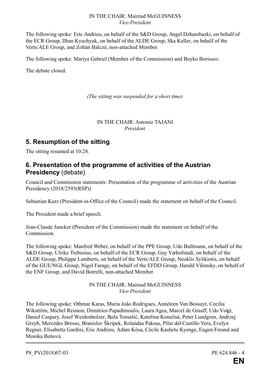#### IN THE CHAIR: Mairead McGUINNESS *Vice-President*

The following spoke: Eric Andrieu, on behalf of the S&D Group, Angel Dzhambazki, on behalf of the ECR Group, Ilhan Kyuchyuk, on behalf of the ALDE Group, Ska Keller, on behalf of the Verts/ALE Group, and Zoltán Balczó, non-attached Member.

The following spoke: Mariya Gabriel (Member of the Commission) and Boyko Borissov.

The debate closed.

*(The sitting was suspended for a short time)*

IN THE CHAIR: Antonio TAJANI *President*

## **5. Resumption of the sitting**

The sitting resumed at 10.24.

## **6. Presentation of the programme of activities of the Austrian Presidency** (debate)

Council and Commission statements: Presentation of the programme of activities of the Austrian Presidency (2018/2593(RSP))

Sebastian Kurz (President-in-Office of the Council) made the statement on behalf of the Council.

The President made a brief speech.

Jean-Claude Juncker (President of the Commission) made the statement on behalf of the Commission.

The following spoke: Manfred Weber, on behalf of the PPE Group, Udo Bullmann, on behalf of the S&D Group, Ulrike Trebesius, on behalf of the ECR Group, Guy Verhofstadt, on behalf of the ALDE Group, Philippe Lamberts, on behalf of the Verts/ALE Group, Neoklis Sylikiotis, on behalf of the GUE/NGL Group, Nigel Farage, on behalf of the EFDD Group, Harald Vilimsky, on behalf of the ENF Group, and David Borrelli, non-attached Member.

> IN THE CHAIR: Mairead McGUINNESS *Vice-President*

The following spoke: Othmar Karas, Maria João Rodrigues, Anneleen Van Bossuyt, Cecilia Wikström, Michel Reimon, Dimitrios Papadimoulis, Laura Agea, Marcel de Graaff, Udo Voigt, Daniel Caspary, Josef Weidenholzer, Ruža Tomašić, Kateřina Konečná, Peter Lundgren, Andrzej Grzyb, Mercedes Bresso, Branislav Škripek, Rolandas Paksas, Pilar del Castillo Vera, Evelyn Regner, Elisabetta Gardini, Eric Andrieu, Ádám Kósa, Cécile Kashetu Kyenge, Eugen Freund and Monika Beňová.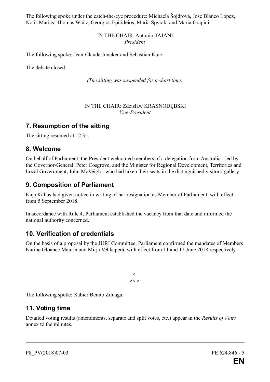The following spoke under the catch-the-eye procedure: Michaela Šojdrová, José Blanco López, Notis Marias, Thomas Waitz, Georgios Epitideios, Maria Spyraki and Maria Grapini.

#### IN THE CHAIR: Antonio TAJANI *President*

The following spoke: Jean-Claude Juncker and Sebastian Kurz.

The debate closed.

*(The sitting was suspended for a short time)*

#### IN THE CHAIR: Zdzisław KRASNODĘBSKI *Vice-President*

## **7. Resumption of the sitting**

The sitting resumed at 12.35.

## **8. Welcome**

On behalf of Parliament, the President welcomed members of a delegation from Australia - led by the Governor-General, Peter Cosgrove, and the Minister for Regional Development, Territories and Local Government, John McVeigh - who had taken their seats in the distinguished visitors' gallery.

## **9. Composition of Parliament**

Kaja Kallas had given notice in writing of her resignation as Member of Parliament, with effect from 5 September 2018.

In accordance with Rule 4, Parliament established the vacancy from that date and informed the national authority concerned.

## **10. Verification of credentials**

On the basis of a proposal by the JURI Committee, Parliament confirmed the mandates of Members Karine Gloanec Maurin and Mirja Vehkaperä, with effect from 11 and 12 June 2018 respectively.

> **° ° ° °**

The following spoke: Xabier Benito Ziluaga.

## **11. Voting time**

Detailed voting results (amendments, separate and split votes, etc.) appear in the *Results of Votes* annex to the minutes.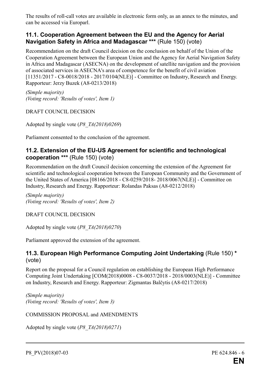The results of roll-call votes are available in electronic form only, as an annex to the minutes, and can be accessed via Europarl.

## **11.1. Cooperation Agreement between the EU and the Agency for Aerial Navigation Safety in Africa and Madagascar \*\*\*** (Rule 150) (vote)

Recommendation on the draft Council decision on the conclusion on behalf of the Union of the Cooperation Agreement between the European Union and the Agency for Aerial Navigation Safety in Africa and Madagascar (ASECNA) on the development of satellite navigation and the provision of associated services in ASECNA's area of competence for the benefit of civil aviation [11351/2017 - C8-0018/2018 - 2017/0104(NLE)] - Committee on Industry, Research and Energy. Rapporteur: Jerzy Buzek (A8-0213/2018)

*(Simple majority) (Voting record: 'Results of votes', Item 1)*

DRAFT COUNCIL DECISION

Adopted by single vote (*P8\_TA(2018)0269*)

Parliament consented to the conclusion of the agreement.

## **11.2. Extension of the EU-US Agreement for scientific and technological cooperation \*\*\*** (Rule 150) (vote)

Recommendation on the draft Council decision concerning the extension of the Agreement for scientific and technological cooperation between the European Community and the Government of the United States of America [08166/2018 - C8-0259/2018- 2018/0067(NLE)] - Committee on Industry, Research and Energy. Rapporteur: Rolandas Paksas (A8-0212/2018)

*(Simple majority) (Voting record: 'Results of votes', Item 2)*

DRAFT COUNCIL DECISION

Adopted by single vote (*P8\_TA(2018)0270*)

Parliament approved the extension of the agreement.

#### **11.3. European High Performance Computing Joint Undertaking** (Rule 150) **\*** (vote)

Report on the proposal for a Council regulation on establishing the European High Performance Computing Joint Undertaking [COM(2018)0008 - C8-0037/2018 - 2018/0003(NLE)] - Committee on Industry, Research and Energy. Rapporteur: Zigmantas Balčytis (A8-0217/2018)

*(Simple majority) (Voting record: 'Results of votes', Item 3)*

COMMISSION PROPOSAL and AMENDMENTS

Adopted by single vote (*P8\_TA(2018)0271*)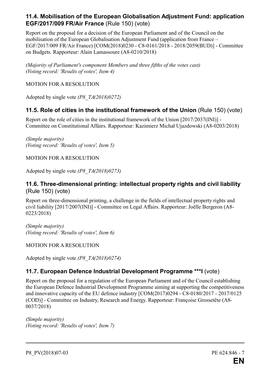#### **11.4. Mobilisation of the European Globalisation Adjustment Fund: application EGF/2017/009 FR/Air France** (Rule 150) (vote)

Report on the proposal for a decision of the European Parliament and of the Council on the mobilisation of the European Globalisation Adjustment Fund (application from France – EGF/2017/009 FR/Air France) [COM(2018)0230 - C8-0161/2018 - 2018/2059(BUD)] - Committee on Budgets. Rapporteur: Alain Lamassoure (A8-0210/2018)

*(Majority of Parliament's component Members and three fifths of the votes cast) (Voting record: 'Results of votes', Item 4)* 

#### MOTION FOR A RESOLUTION

Adopted by single vote *(P8\_TA(2018)0272)*

## **11.5. Role of cities in the institutional framework of the Union** (Rule 150) (vote)

Report on the role of cities in the institutional framework of the Union [2017/2037(INI)] - Committee on Constitutional Affairs. Rapporteur: Kazimierz Michał Ujazdowski (A8-0203/2018)

*(Simple majority) (Voting record: 'Results of votes', Item 5)* 

MOTION FOR A RESOLUTION

Adopted by single vote *(P8\_TA(2018)0273)*

## **11.6. Three-dimensional printing: intellectual property rights and civil liability** (Rule 150) (vote)

Report on three-dimensional printing, a challenge in the fields of intellectual property rights and civil liability [2017/2007(INI)] - Committee on Legal Affairs. Rapporteur: Joëlle Bergeron (A8- 0223/2018)

*(Simple majority) (Voting record: 'Results of votes', Item 6)* 

MOTION FOR A RESOLUTION

Adopted by single vote *(P8\_TA(2018)0274)*

## **11.7. European Defence Industrial Development Programme \*\*\*I** (vote)

Report on the proposal for a regulation of the European Parliament and of the Council establishing the European Defence Industrial Development Programme aiming at supporting the competitiveness and innovative capacity of the EU defence industry [COM(2017)0294 - C8-0180/2017 - 2017/0125 (COD)] - Committee on Industry, Research and Energy. Rapporteur: Françoise Grossetête (A8- 0037/2018)

*(Simple majority) (Voting record: 'Results of votes', Item 7)*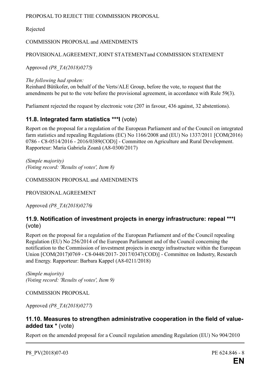#### PROPOSAL TO REJECT THE COMMISSION PROPOSAL

Rejected

#### COMMISSION PROPOSAL and AMENDMENTS

#### PROVISIONALAGREEMENT, JOINT STATEMENT and COMMISSION STATEMENT

Approved *(P8\_TA(2018)0275)*

*The following had spoken:*

Reinhard Bütikofer, on behalf of the Verts/ALE Group, before the vote, to request that the amendments be put to the vote before the provisional agreement, in accordance with Rule 59(3).

Parliament rejected the request by electronic vote (207 in favour, 436 against, 32 abstentions).

## **11.8. Integrated farm statistics \*\*\*I** (vote)

Report on the proposal for a regulation of the European Parliament and of the Council on integrated farm statistics and repealing Regulations (EC) No 1166/2008 and (EU) No 1337/2011 [COM(2016) 0786 - C8-0514/2016 - 2016/0389(COD)] - Committee on Agriculture and Rural Development. Rapporteur: Maria Gabriela Zoană (A8-0300/2017)

*(Simple majority) (Voting record: 'Results of votes', Item 8)* 

COMMISSION PROPOSAL and AMENDMENTS

PROVISIONALAGREEMENT

Approved *(P8\_TA(2018)0276)*

## **11.9. Notification of investment projects in energy infrastructure: repeal \*\*\*I** (vote)

Report on the proposal for a regulation of the European Parliament and of the Council repealing Regulation (EU) No 256/2014 of the European Parliament and of the Council concerning the notification to the Commission of investment projects in energy infrastructure within the European Union [COM(2017)0769 - C8-0448/2017- 2017/0347(COD)] - Committee on Industry, Research and Energy. Rapporteur: Barbara Kappel (A8-0211/2018)

*(Simple majority) (Voting record: 'Results of votes', Item 9)* 

COMMISSION PROPOSAL

Approved *(P8\_TA(2018)0277)*

#### **11.10. Measures to strengthen administrative cooperation in the field of valueadded tax \*** (vote)

Report on the amended proposal for a Council regulation amending Regulation (EU) No 904/2010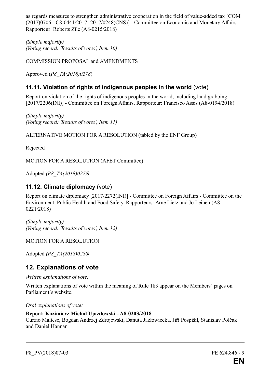as regards measures to strengthen administrative cooperation in the field of value-added tax [COM (2017)0706 - C8-0441/2017- 2017/0248(CNS)] - Committee on Economic and Monetary Affairs. Rapporteur: Roberts Zīle (A8-0215/2018)

*(Simple majority) (Voting record: 'Results of votes', Item 10)*

COMMISSION PROPOSAL and AMENDMENTS

Approved (*P8\_TA(2018)0278*)

## **11.11. Violation of rights of indigenous peoples in the world** (vote)

Report on violation of the rights of indigenous peoples in the world, including land grabbing [2017/2206(INI)] - Committee on Foreign Affairs. Rapporteur: Francisco Assis (A8-0194/2018)

*(Simple majority) (Voting record: 'Results of votes', Item 11)*

ALTERNATIVE MOTION FOR A RESOLUTION (tabled by the ENF Group)

Rejected

MOTION FOR A RESOLUTION (AFET Committee)

Adopted *(P8\_TA(2018)0279)*

#### **11.12. Climate diplomacy** (vote)

Report on climate diplomacy [2017/2272(INI)] - Committee on Foreign Affairs - Committee on the Environment, Public Health and Food Safety. Rapporteurs: Arne Lietz and Jo Leinen (A8- 0221/2018)

*(Simple majority) (Voting record: 'Results of votes', Item 12)*

MOTION FOR A RESOLUTION

Adopted *(P8\_TA(2018)0280)*

## **12. Explanations of vote**

*Written explanations of vote:*

Written explanations of vote within the meaning of Rule 183 appear on the Members' pages on Parliament's website.

*Oral explanations of vote:*

#### **Report: Kazimierz Michał Ujazdowski - A8-0203/2018**

Curzio Maltese, Bogdan Andrzej Zdrojewski, Danuta Jazłowiecka, Jiří Pospíšil, Stanislav Polčák and Daniel Hannan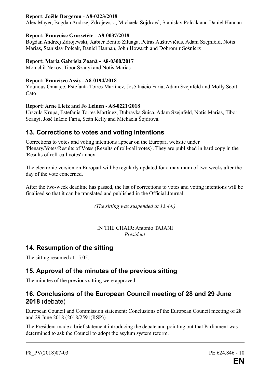#### **Report: Joëlle Bergeron - A8-0223/2018**

Alex Mayer, Bogdan Andrzej Zdrojewski, Michaela Šojdrová, Stanislav Polčák and Daniel Hannan

#### **Report: Françoise Grossetête - A8-0037/2018**

Bogdan Andrzej Zdrojewski, Xabier Benito Ziluaga, Petras Auštrevičius, Adam Szejnfeld, Notis Marias, Stanislav Polčák, Daniel Hannan, John Howarth and Dobromir Sośnierz

#### **Report: Maria Gabriela Zoană - A8-0300/2017**

Momchil Nekov, Tibor Szanyi and Notis Marias

#### **Report: Francisco Assis - A8-0194/2018**

Younous Omarjee, Estefanía Torres Martínez, José Inácio Faria, Adam Szejnfeld and Molly Scott Cato

#### **Report: Arne Lietz and Jo Leinen - A8-0221/2018**

Urszula Krupa, Estefanía Torres Martínez, Dubravka Šuica, Adam Szejnfeld, Notis Marias, Tibor Szanyi, José Inácio Faria, Seán Kelly and Michaela Šojdrová.

## **13. Corrections to votes and voting intentions**

Corrections to votes and voting intentions appear on the Europarl website under 'Plenary/Votes/Results of Votes (Results of roll-call votes)'. They are published in hard copy in the 'Results of roll-call votes' annex.

The electronic version on Europarl will be regularly updated for a maximum of two weeks after the day of the vote concerned.

After the two-week deadline has passed, the list of corrections to votes and voting intentions will be finalised so that it can be translated and published in the Official Journal.

*(The sitting was suspended at 13.44.)*

IN THE CHAIR: Antonio TAJANI *President*

## **14. Resumption of the sitting**

The sitting resumed at 15.05.

## **15. Approval of the minutes of the previous sitting**

The minutes of the previous sitting were approved.

## **16. Conclusions of the European Council meeting of 28 and 29 June 2018** (debate)

European Council and Commission statement: Conclusions of the European Council meeting of 28 and 29 June 2018 (2018/2591(RSP))

The President made a brief statement introducing the debate and pointing out that Parliament was determined to ask the Council to adopt the asylum system reform.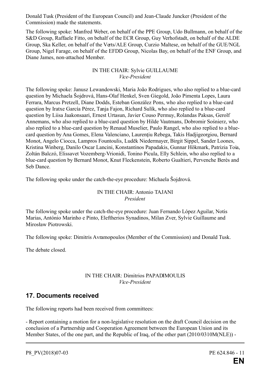Donald Tusk (President of the European Council) and Jean-Claude Juncker (President of the Commission) made the statements.

The following spoke: Manfred Weber, on behalf of the PPE Group, Udo Bullmann, on behalf of the S&D Group, Raffaele Fitto, on behalf of the ECR Group, Guy Verhofstadt, on behalf of the ALDE Group, Ska Keller, on behalf of the Verts/ALE Group, Curzio Maltese, on behalf of the GUE/NGL Group, Nigel Farage, on behalf of the EFDD Group, Nicolas Bay, on behalf of the ENF Group, and Diane James, non-attached Member.

#### IN THE CHAIR: Sylvie GUILLAUME *Vice-President*

The following spoke: Janusz Lewandowski, Maria João Rodrigues, who also replied to a blue-card question by Michaela Šojdrová, Hans-Olaf Henkel, Sven Giegold, João Pimenta Lopes, Laura Ferrara, Marcus Pretzell, Diane Dodds, Esteban González Pons, who also replied to a blue-card question by Iratxe García Pérez, Tanja Fajon, Richard Sulík, who also replied to a blue-card question by Liisa Jaakonsaari, Ernest Urtasun, Javier Couso Permuy, Rolandas Paksas, Gerolf Annemans, who also replied to a blue-card question by Hilde Vautmans, Dobromir Sośnierz, who also replied to a blue-card question by Renaud Muselier, Paulo Rangel, who also replied to a bluecard question by Ana Gomes, Elena Valenciano, Laurenţiu Rebega, Takis Hadjigeorgiou, Bernard Monot, Angelo Ciocca, Lampros Fountoulis, Luděk Niedermayer, Birgit Sippel, Sander Loones, Kristina Winberg, Danilo Oscar Lancini, Konstantinos Papadakis, Gunnar Hökmark, Patrizia Toia, Zoltán Balczó, Elissavet Vozemberg-Vrionidi, Tonino Picula, Elly Schlein, who also replied to a blue-card question by Bernard Monot, Knut Fleckenstein, Roberto Gualtieri, Pervenche Berès and Seb Dance.

The following spoke under the catch-the-eye procedure: Michaela Šojdrová.

#### IN THE CHAIR: Antonio TAJANI *President*

The following spoke under the catch-the-eye procedure: Juan Fernando López Aguilar, Notis Marias, António Marinho e Pinto, Eleftherios Synadinos, Milan Zver, Sylvie Guillaume and Mirosław Piotrowski.

The following spoke: Dimitris Avramopoulos (Member of the Commission) and Donald Tusk.

The debate closed.

#### IN THE CHAIR: Dimitrios PAPADIMOULIS *Vice-President*

## **17. Documents received**

The following reports had been received from committees:

- Report containing a motion for a non-legislative resolution on the draft Council decision on the conclusion of a Partnership and Cooperation Agreement between the European Union and its Member States, of the one part, and the Republic of Iraq, of the other part (2010/0310M(NLE)) -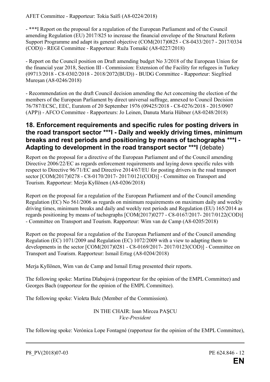- \*\*\*I Report on the proposal for a regulation of the European Parliament and of the Council amending Regulation (EU) 2017/825 to increase the financial envelope of the Structural Reform Support Programme and adapt its general objective (COM(2017)0825 - C8-0433/2017 - 2017/0334 (COD)) - REGI Committee - Rapporteur: Ruža Tomašić (A8-0227/2018)

- Report on the Council position on Draft amending budget No 3/2018 of the European Union for the financial year 2018, Section III - Commission: Extension of the Facility for refugees in Turkey (09713/2018 - C8-0302/2018 - 2018/2072(BUD)) - BUDG Committee - Rapporteur: Siegfried Mureşan (A8-0246/2018)

- Recommendation on the draft Council decision amending the Act concerning the election of the members of the European Parliament by direct universal suffrage, annexed to Council Decision 76/787/ECSC, EEC, Euratom of 20 September 1976 (09425/2018 - C8-0276/2018 - 2015/0907 (APP)) - AFCO Committee - Rapporteurs: Jo Leinen, Danuta Maria Hübner (A8-0248/2018)

## **18. Enforcement requirements and specific rules for posting drivers in the road transport sector \*\*\*I - Daily and weekly driving times, minimum breaks and rest periods and positioning by means of tachographs \*\*\*I - Adapting to development in the road transport sector \*\*\*I** (debate)

Report on the proposal for a directive of the European Parliament and of the Council amending Directive 2006/22/EC as regards enforcement requirements and laying down specific rules with respect to Directive 96/71/EC and Directive 2014/67/EU for posting drivers in the road transport sector [COM(2017)0278 - C8-0170/2017- 2017/0121(COD)] - Committee on Transport and Tourism. Rapporteur: Merja Kyllönen (A8-0206/2018)

Report on the proposal for a regulation of the European Parliament and of the Council amending Regulation (EC) No 561/2006 as regards on minimum requirements on maximum daily and weekly driving times, minimum breaks and daily and weekly rest periods and Regulation (EU) 165/2014 as regards positioning by means of tachographs [COM(2017)0277 - C8-0167/2017- 2017/0122(COD)] - Committee on Transport and Tourism. Rapporteur: Wim van de Camp (A8-0205/2018)

Report on the proposal for a regulation of the European Parliament and of the Council amending Regulation (EC) 1071/2009 and Regulation (EC) 1072/2009 with a view to adapting them to developments in the sector [COM(2017)0281 - C8-0169/2017- 2017/0123(COD)] - Committee on Transport and Tourism. Rapporteur: Ismail Ertug (A8-0204/2018)

Merja Kyllönen, Wim van de Camp and Ismail Ertug presented their reports.

The following spoke: Martina Dlabajová (rapporteur for the opinion of the EMPL Committee) and Georges Bach (rapporteur for the opinion of the EMPL Committee).

The following spoke: Violeta Bulc (Member of the Commission).

IN THE CHAIR: Ioan Mircea PAŞCU *Vice-President*

The following spoke: Verónica Lope Fontagné (rapporteur for the opinion of the EMPL Committee),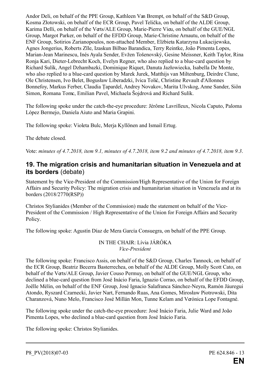Andor Deli, on behalf of the PPE Group, Kathleen Van Brempt, on behalf of the S&D Group, Kosma Złotowski, on behalf of the ECR Group, Pavel Telička, on behalf of the ALDE Group, Karima Delli, on behalf of the Verts/ALE Group, Marie-Pierre Vieu, on behalf of the GUE/NGL Group, Margot Parker, on behalf of the EFDD Group, Marie-Christine Arnautu, on behalf of the ENF Group, Sotirios Zarianopoulos, non-attached Member, Elżbieta Katarzyna Łukacijewska, Agnes Jongerius, Roberts Zīle, Izaskun Bilbao Barandica, Terry Reintke, João Pimenta Lopes, Marian-Jean Marinescu, Inés Ayala Sender, Evžen Tošenovský, Gesine Meissner, Keith Taylor, Rina Ronja Kari, Dieter-Lebrecht Koch, Evelyn Regner, who also replied to a blue-card question by Richard Sulík, Angel Dzhambazki, Dominique Riquet, Danuta Jazłowiecka, Isabella De Monte, who also replied to a blue-card question by Marek Jurek, Matthijs van Miltenburg, Deirdre Clune, Ole Christensen, Ivo Belet, Bogusław Liberadzki, Ivica Tolić, Christine Revault d'Allonnes Bonnefoy, Markus Ferber, Claudia Țapardel, Andrey Novakov, Marita Ulvskog, Anne Sander, Siôn Simon, Romana Tomc, Emilian Pavel, Michaela Šojdrová and Richard Sulík.

The following spoke under the catch-the-eye procedure: Jérôme Lavrilleux, Nicola Caputo, Paloma López Bermejo, Daniela Aiuto and Maria Grapini.

The following spoke: Violeta Bulc, Merja Kyllönen and Ismail Ertug.

The debate closed.

Vote: *minutes of 4.7.2018, item 9.1, minutes of 4.7.2018, item 9.2 and minutes of 4.7.2018, item 9.3*.

## **19. The migration crisis and humanitarian situation in Venezuela and at its borders** (debate)

Statement by the Vice-President of the Commission/High Representative of the Union for Foreign Affairs and Security Policy: The migration crisis and humanitarian situation in Venezuela and at its borders (2018/2770(RSP))

Christos Stylianides (Member of the Commission) made the statement on behalf of the Vice-President of the Commission / High Representative of the Union for Foreign Affairs and Security Policy.

The following spoke: Agustín Díaz de Mera García Consuegra, on behalf of the PPE Group.

#### IN THE CHAIR: Lívia JÁRÓKA *Vice-President*

The following spoke: Francisco Assis, on behalf of the S&D Group, Charles Tannock, on behalf of the ECR Group, Beatriz Becerra Basterrechea, on behalf of the ALDE Group, Molly Scott Cato, on behalf of the Verts/ALE Group, Javier Couso Permuy, on behalf of the GUE/NGL Group, who declined a blue-card question from José Inácio Faria, Ignazio Corrao, on behalf of the EFDD Group, Joëlle Mélin, on behalf of the ENF Group, José Ignacio Salafranca Sánchez-Neyra, Ramón Jáuregui Atondo, Ryszard Czarnecki, Javier Nart, Fernando Ruas, Ana Gomes, Mirosław Piotrowski, Dita Charanzová, Nuno Melo, Francisco José Millán Mon, Tunne Kelam and Verónica Lope Fontagné.

The following spoke under the catch-the-eye procedure: José Inácio Faria, Julie Ward and João Pimenta Lopes, who declined a blue-card question from José Inácio Faria.

The following spoke: Christos Stylianides.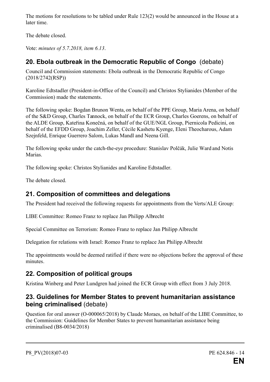The motions for resolutions to be tabled under Rule 123(2) would be announced in the House at a later time.

The debate closed.

Vote: *minutes of 5.7.2018, item 6.13*.

# **20. Ebola outbreak in the Democratic Republic of Congo** (debate)

Council and Commission statements: Ebola outbreak in the Democratic Republic of Congo (2018/2742(RSP))

Karoline Edtstadler (President-in-Office of the Council) and Christos Stylianides (Member of the Commission) made the statements.

The following spoke: Bogdan Brunon Wenta, on behalf of the PPE Group, Maria Arena, on behalf of the S&D Group, Charles Tannock, on behalf of the ECR Group, Charles Goerens, on behalf of the ALDE Group, Kateřina Konečná, on behalf of the GUE/NGL Group, Piernicola Pedicini, on behalf of the EFDD Group, Joachim Zeller, Cécile Kashetu Kyenge, Eleni Theocharous, Adam Szejnfeld, Enrique Guerrero Salom, Lukas Mandl and Neena Gill.

The following spoke under the catch-the-eye procedure: Stanislav Polčák, Julie Ward and Notis Marias.

The following spoke: Christos Stylianides and Karoline Edtstadler.

The debate closed.

# **21. Composition of committees and delegations**

The President had received the following requests for appointments from the Verts/ALE Group:

LIBE Committee: Romeo Franz to replace Jan Philipp Albrecht

Special Committee on Terrorism: Romeo Franz to replace Jan Philipp Albrecht

Delegation for relations with Israel: Romeo Franz to replace Jan Philipp Albrecht

The appointments would be deemed ratified if there were no objections before the approval of these minutes.

# **22. Composition of political groups**

Kristina Winberg and Peter Lundgren had joined the ECR Group with effect from 3 July 2018.

## **23. Guidelines for Member States to prevent humanitarian assistance being criminalised** (debate)

Question for oral answer (O-000065/2018) by Claude Moraes, on behalf of the LIBE Committee, to the Commission: Guidelines for Member States to prevent humanitarian assistance being criminalised (B8-0034/2018)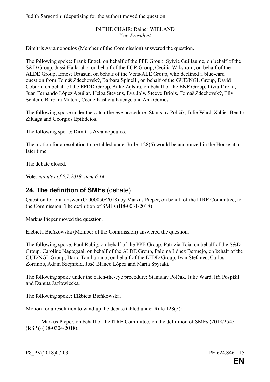Judith Sargentini (deputising for the author) moved the question.

#### IN THE CHAIR: Rainer WIELAND *Vice-President*

Dimitris Avramopoulos (Member of the Commission) answered the question.

The following spoke: Frank Engel, on behalf of the PPE Group, Sylvie Guillaume, on behalf of the S&D Group, Jussi Halla-aho, on behalf of the ECR Group, Cecilia Wikström, on behalf of the ALDE Group, Ernest Urtasun, on behalf of the Verts/ALE Group, who declined a blue-card question from Tomáš Zdechovský, Barbara Spinelli, on behalf of the GUE/NGL Group, David Coburn, on behalf of the EFDD Group, Auke Zijlstra, on behalf of the ENF Group, Lívia Járóka, Juan Fernando López Aguilar, Helga Stevens, Eva Joly, Steeve Briois, Tomáš Zdechovský, Elly Schlein, Barbara Matera, Cécile Kashetu Kyenge and Ana Gomes.

The following spoke under the catch-the-eye procedure: Stanislav Polčák, Julie Ward, Xabier Benito Ziluaga and Georgios Epitideios.

The following spoke: Dimitris Avramopoulos.

The motion for a resolution to be tabled under Rule 128(5) would be announced in the House at a later time.

The debate closed.

Vote: *minutes of 5.7.2018, item 6.14*.

## **24. The definition of SMEs** (debate)

Question for oral answer (O-000050/2018) by Markus Pieper, on behalf of the ITRE Committee, to the Commission: The definition of SMEs (B8-0031/2018)

Markus Pieper moved the question.

Elżbieta Bieńkowska (Member of the Commission) answered the question.

The following spoke: Paul Rübig, on behalf of the PPE Group, Patrizia Toia, on behalf of the S&D Group, Caroline Nagtegaal, on behalf of the ALDE Group, Paloma López Bermejo, on behalf of the GUE/NGL Group, Dario Tamburrano, on behalf of the EFDD Group, Ivan Štefanec, Carlos Zorrinho, Adam Szeinfeld, José Blanco López and Maria Spyraki.

The following spoke under the catch-the-eye procedure: Stanislav Polčák, Julie Ward, Jiří Pospíšil and Danuta Jazłowiecka.

The following spoke: Elżbieta Bieńkowska.

Motion for a resolution to wind up the debate tabled under Rule 128(5):

Markus Pieper, on behalf of the ITRE Committee, on the definition of SMEs (2018/2545) (RSP)) (B8-0304/2018).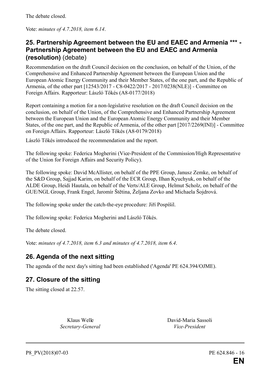The debate closed.

Vote: *minutes of 4.7.2018, item 6.14*.

## **25. Partnership Agreement between the EU and EAEC and Armenia \*\*\* - Partnership Agreement between the EU and EAEC and Armenia (resolution)** (debate)

Recommendation on the draft Council decision on the conclusion, on behalf of the Union, of the Comprehensive and Enhanced Partnership Agreement between the European Union and the European Atomic Energy Community and their Member States, of the one part, and the Republic of Armenia, of the other part [12543/2017 - C8-0422/2017 - 2017/0238(NLE)] - Committee on Foreign Affairs. Rapporteur: László Tőkés (A8-0177/2018)

Report containing a motion for a non-legislative resolution on the draft Council decision on the conclusion, on behalf of the Union, of the Comprehensive and Enhanced Partnership Agreement between the European Union and the European Atomic Energy Community and their Member States, of the one part, and the Republic of Armenia, of the other part [2017/2269(INI)] - Committee on Foreign Affairs. Rapporteur: László Tőkés (A8-0179/2018)

László Tőkés introduced the recommendation and the report.

The following spoke: Federica Mogherini (Vice-President of the Commission/High Representative of the Union for Foreign Affairs and Security Policy).

The following spoke: David McAllister, on behalf of the PPE Group, Janusz Zemke, on behalf of the S&D Group, Sajjad Karim, on behalf of the ECR Group, Ilhan Kyuchyuk, on behalf of the ALDE Group, Heidi Hautala, on behalf of the Verts/ALE Group, Helmut Scholz, on behalf of the GUE/NGL Group, Frank Engel, Jaromír Štětina, Željana Zovko and Michaela Šojdrová.

The following spoke under the catch-the-eye procedure: Jiří Pospíšil.

The following spoke: Federica Mogherini and László Tőkés.

The debate closed.

Vote: *minutes of 4.7.2018, item 6.3 and minutes of 4.7.2018, item 6.4*.

## **26. Agenda of the next sitting**

The agenda of the next day's sitting had been established ('Agenda' PE 624.394/OJME).

## **27. Closure of the sitting**

The sitting closed at 22.57.

*Secretary-General Vice-President*

Klaus Welle David-Maria Sassoli

P8 PV(2018)07-03 PE 624.846 - 16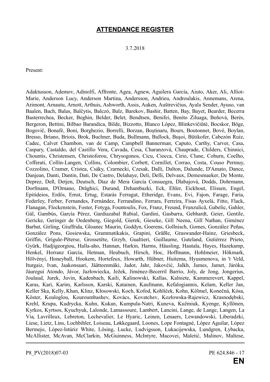## **ATTENDANCE REGISTER**

3.7.2018

Present:

Adaktusson, Ademov, Adinolfi, Affronte, Agea, Agnew, Aguilera García, Aiuto, Aker, Ali, Alliot-Marie, Anderson Lucy, Anderson Martina, Andersson, Andrieu, Androulakis, Annemans, Arena, Arimont, Arnautu, Arnott, Arthuis, Ashworth, Assis, Auken, Auštrevičius, Ayala Sender, Ayuso, van Baalen, Bach, Balas, Balčytis, Balczó, Balz, Barekov, Bashir, Batten, Bay, Bayet, Bearder, Becerra Basterrechea, Becker, Beghin, Belder, Belet, Bendtsen, Benifei, Benito Ziluaga, Beňová, Berès, Bergeron, Bettini, Bilbao Barandica, Bilde, Bizzotto, Blanco López, Blinkevičiūtė, Bocskor, Böge, Bogovič, Bonafè, Boni, Borghezio, Borrelli, Borzan, Boştinaru, Bours, Boutonnet, Bové, Boylan, Bresso, Briano, Briois, Brok, Buchner, Buda, Bullmann, Bullock, Buşoi, Bütikofer, Cabezón Ruiz, Cadec, Calvet Chambon, van de Camp, Campbell Bannerman, Caputo, Carthy, Carver, Casa, Caspary, Castaldo, del Castillo Vera, Cavada, Cesa, Charanzová, Chauprade, Childers, Chinnici, Chountis, Christensen, Christoforou, Chrysogonos, Cicu, Ciocca, Cirio, Clune, Coburn, Coelho, Cofferati, Collin-Langen, Collins, Colombier, Corbett, Cornillet, Corrao, Costa, Couso Permuy, Cozzolino, Cramer, Cristea, Csáky, Czarnecki, Czesak, Dalli, Dalton, Dalunde, D'Amato, Dance, Danjean, Danti, Dantin, Dati, De Castro, Delahaye, Deli, Delli, Delvaux, Demesmaeker, De Monte, Deprez, Deß, Detjen, Deutsch, Díaz de Mera García Consuegra, Dlabajová, Dodds, Dohrmann, Dorfmann, D'Ornano, Drăghici, Durand, Dzhambazki, Eck, Ehler, Eickhout, Elissen, Engel, Epitideios, Erdős, Ernst, Ertug, Estaràs Ferragut, Etheridge, Evans, Evi, Fajon, Farage, Faria, Federley, Ferber, Fernandes, Fernández, Ferrandino, Ferrara, Ferreira, Fisas Ayxelà, Fitto, Flack, Flanagan, Fleckenstein, Foster, Fotyga, Fountoulis, Fox, Franz, Freund, Frunzulică, Gabelic, Gahler, Gál, Gambús, García Pérez, Gardiazabal Rubial, Gardini, Gasbarra, Gebhardt, Geier, Gentile, Gericke, Geringer de Oedenberg, Giegold, Gierek, Gieseke, Gill Neena, Gill Nathan, Giménez Barbat, Girling, Giuffrida, Gloanec Maurin, Goddyn, Goerens, Gollnisch, Gomes, González Peñas, González Pons, Gosiewska, Grammatikakis, Grapini, Gräßle, Graswander-Hainz, Griesbeck, Griffin, Grigule-Pēterse, Grossetête, Grzyb, Gualtieri, Guillaume, Guteland, Gutiérrez Prieto, Gyürk, Hadjigeorgiou, Halla-aho, Hannan, Harkin, Harms, Häusling, Hautala, Hayes, Hazekamp, Henkel, Herranz García, Hetman, Heubuch, Hirsch, Hoc, Hoffmann, Hohlmeier, Hökmark, Hölvényi, Honeyball, Hookem, Hortefeux, Howarth, Hübner, Huitema, Hyusmenova, in 't Veld, Iturgaiz, Ivan, Jaakonsaari, Jäätteenmäki, Jadot, Jahr, Jakovčić, Jalkh, James, Jamet, Járóka, Jáuregui Atondo, Jávor, Jazłowiecka, Ježek, Jiménez-Becerril Barrio, Joly, de Jong, Jongerius, Joulaud, Jurek, Juvin, Kadenbach, Kaili, Kalinowski, Kallas, Kalniete, Kammerevert, Kappel, Karas, Kari, Karim, Karlsson, Karski, Katainen, Kaufmann, Kefalogiannis, Kelam, Keller Jan, Keller Ska, Kelly, Khan, Klinz, Kłosowski, Koch, Kofod, Kohlíček, Kohn, Kölmel, Konečná, Kósa, Köster, Kouloglou, Kouroumbashev, Kovács, Kovatchev, Kozłowska-Rajewicz, Krasnodębski, Krehl, Krupa, Kudrycka, Kuhn, Kukan, Kumpula-Natri, Kuneva, Kuźmiuk, Kyenge, Kyllönen, Kyrkos, Kyrtsos, Kyuchyuk, Lalonde, Lamassoure, Lambert, Lancini, Lange, de Lange, Langen, La Via, Lavrilleux, Lebreton, Lechevalier, Le Hyaric, Leinen, Lenaers, Lewandowski, Liberadzki, Liese, Lietz, Lins, Lochbihler, Loiseau, Løkkegaard, Loones, Lope Fontagné, López Aguilar, López Bermejo, López-Istúriz White, Lösing, Lucke, Ludvigsson, Łukacijewska, Lundgren, Łybacka, McAllister, McAvan, McClarkin, McGuinness, McIntyre, Macovei, Maletić, Malinov, Maltese,